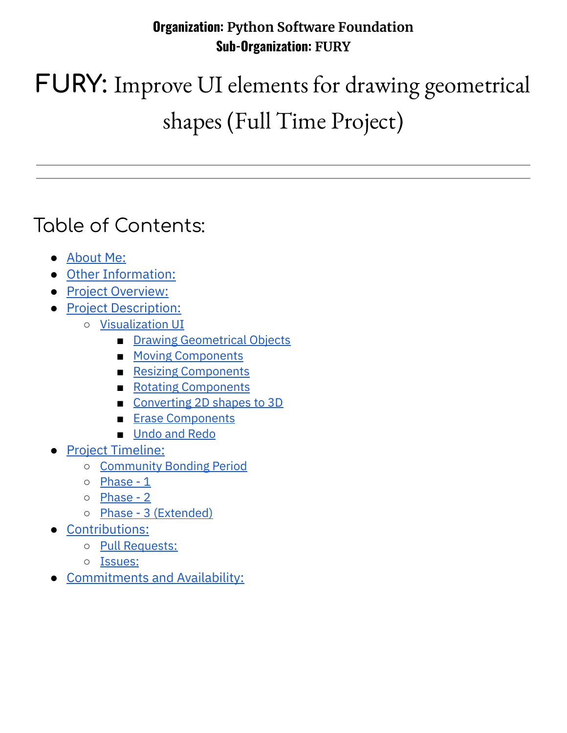#### **Organization: Python Software Foundation Sub-Organization: FURY**

# **FURY:** Improve UI elements for drawing geometrical shapes (Full Time Project)

### Table of Contents:

- [About](#page-1-0) Me:
- Other [Information:](#page-1-1)
- Project [Overview:](#page-2-0)
- Project [Description:](#page-2-1)
	- [Visualization](#page-2-2) UI
		- Drawing [Geometrical](#page-3-0) Objects
		- Moving [Components](#page-3-1)
		- Resizing [Components](#page-3-2)
		- Rotating [Components](#page-3-3)
		- [Converting](#page-3-4) 2D shapes to 3D
		- **Erase [Components](#page-4-0)**
		- [Undo](#page-4-1) and Redo
- Project [Timeline:](#page-4-2)
	- [Community](#page-4-3) Bonding Period
	- [Phase](#page-4-4) 1
	- [Phase](#page-5-0) 2
	- Phase 3 [\(Extended\)](#page-5-1)
- [Contributions:](#page-6-0)
	- Pull [Requests:](#page-6-1)
	- [Issues:](#page-7-0)
- **[Commitments](#page-7-1) and Availability:**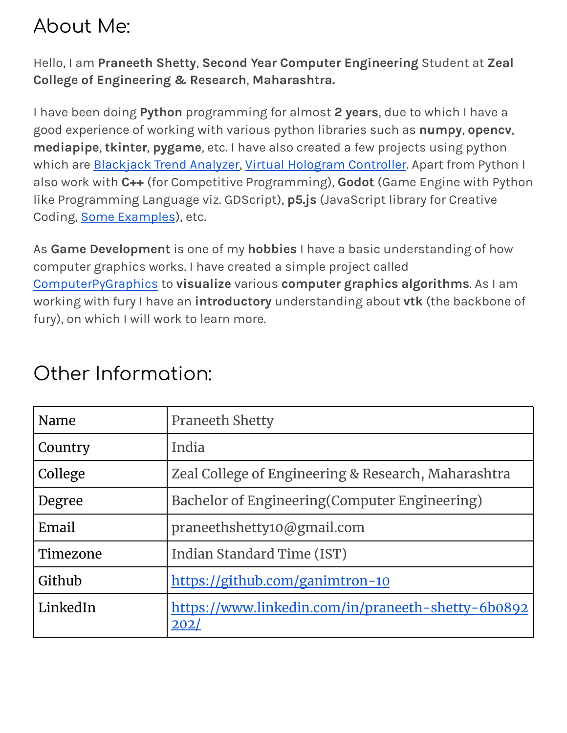### <span id="page-1-0"></span>About Me:

Hello, I am **Praneeth Shetty**, **Second Year Computer Engineering** Student at **Zeal College of Engineering & Research**, **Maharashtra.**

I have been doing **Python** programming for almost **2 years**, due to which I have a good experience of working with various python libraries such as **numpy**, **opencv**, **mediapipe**, **tkinter**, **pygame**, etc. I have also created a few projects using python which are **[Blackjack](https://github.com/ganimtron-10/BlackJack) Trend Analyzer, Virtual Hologram Controller**. Apart from Python I also work with **C++** (for Competitive Programming), **Godot** (Game Engine with Python like Programming Language viz. GDScript), **p5.js** (JavaScript library for Creative Coding, **Some [Examples](https://editor.p5js.org/ganimtron_10/sketches)**), etc.

As **Game Development** is one of my **hobbies** I have a basic understanding of how computer graphics works. I have created a simple project called [ComputerPyGraphics](https://github.com/ganimtron-10/ComputerPyGraphics) to **visualize** various **computer graphics algorithms**. As I am working with fury I have an **introductory** understanding about **vtk** (the backbone of fury), on which I will work to learn more.

| Name     | <b>Praneeth Shetty</b>                                     |
|----------|------------------------------------------------------------|
| Country  | India                                                      |
| College  | Zeal College of Engineering & Research, Maharashtra        |
| Degree   | Bachelor of Engineering (Computer Engineering)             |
| Email    | praneethshetty10@gmail.com                                 |
| Timezone | Indian Standard Time (IST)                                 |
| Github   | https://github.com/ganimtron-10                            |
| LinkedIn | https://www.linkedin.com/in/praneeth-shetty-6b0892<br>202/ |

### <span id="page-1-1"></span>Other Information: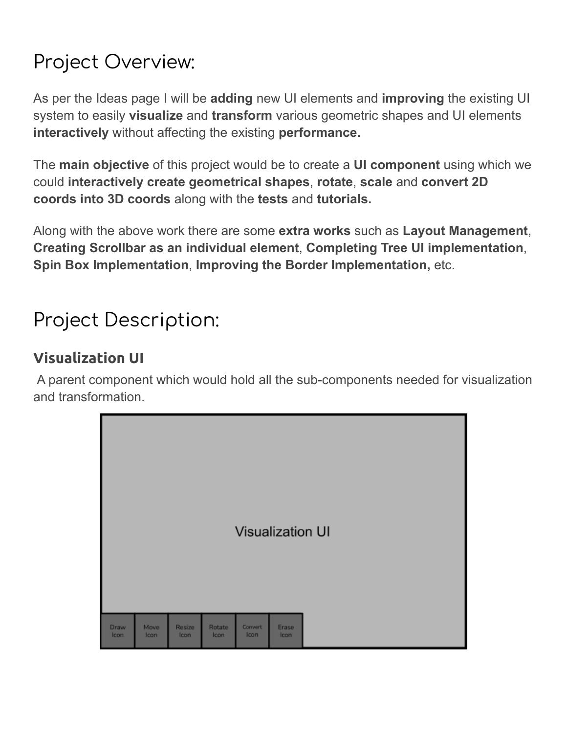# <span id="page-2-0"></span>Project Overview:

As per the Ideas page I will be **adding** new UI elements and **improving** the existing UI system to easily **visualize** and **transform** various geometric shapes and UI elements **interactively** without affecting the existing **performance.**

The **main objective** of this project would be to create a **UI component** using which we could **interactively create geometrical shapes**, **rotate**, **scale** and **convert 2D coords into 3D coords** along with the **tests** and **tutorials.**

Along with the above work there are some **extra works** such as **Layout Management**, **Creating Scrollbar as an individual element**, **Completing Tree UI implementation**, **Spin Box Implementation**, **Improving the Border Implementation,** etc.

# <span id="page-2-1"></span>Project Description:

#### <span id="page-2-2"></span>**Visualization UI**

A parent component which would hold all the sub-components needed for visualization and transformation.

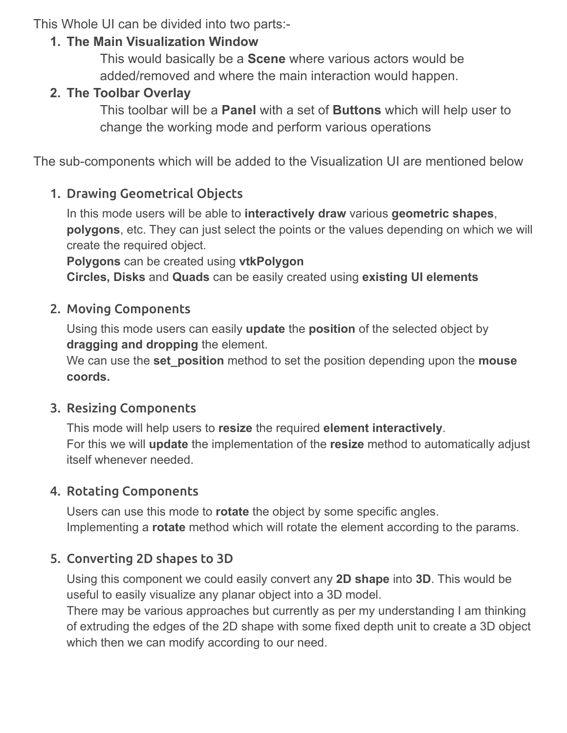This Whole UI can be divided into two parts:-

#### **1. The Main Visualization Window**

This would basically be a **Scene** where various actors would be added/removed and where the main interaction would happen.

#### **2. The Toolbar Overlay**

This toolbar will be a **Panel** with a set of **Buttons** which will help user to change the working mode and perform various operations

<span id="page-3-0"></span>The sub-components which will be added to the Visualization UI are mentioned below

#### 1. Drawing Geometrical Objects

In this mode users will be able to **interactively draw** various **geometric shapes**, **polygons**, etc. They can just select the points or the values depending on which we will create the required object.

**Polygons** can be created using **vtkPolygon Circles, Disks** and **Quads** can be easily created using **existing UI elements**

#### <span id="page-3-1"></span>2. Moving Components

Using this mode users can easily **update** the **position** of the selected object by **dragging and dropping** the element.

We can use the **set\_position** method to set the position depending upon the **mouse coords.**

#### <span id="page-3-2"></span>3. Resizing Components

This mode will help users to **resize** the required **element interactively**. For this we will **update** the implementation of the **resize** method to automatically adjust itself whenever needed.

#### <span id="page-3-3"></span>4. Rotating Components

Users can use this mode to **rotate** the object by some specific angles. Implementing a **rotate** method which will rotate the element according to the params.

#### <span id="page-3-4"></span>5. Converting 2D shapes to 3D

Using this component we could easily convert any **2D shape** into **3D**. This would be useful to easily visualize any planar object into a 3D model.

There may be various approaches but currently as per my understanding I am thinking of extruding the edges of the 2D shape with some fixed depth unit to create a 3D object which then we can modify according to our need.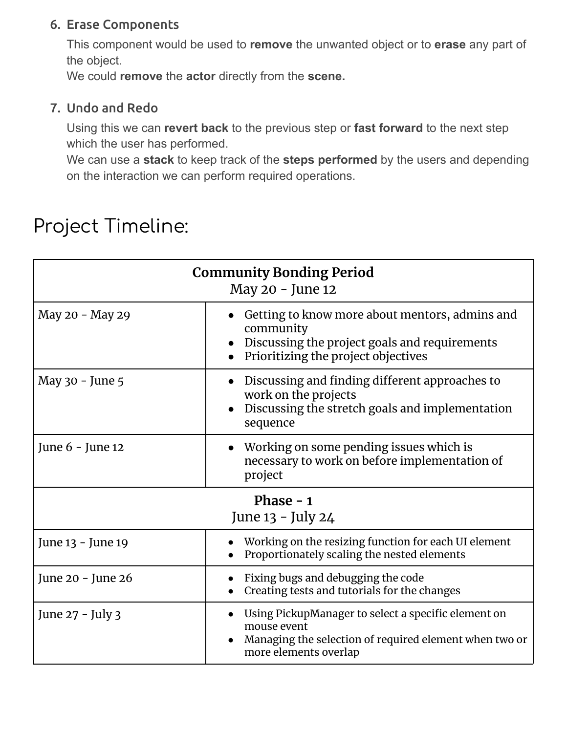#### <span id="page-4-0"></span>6. Erase Components

This component would be used to **remove** the unwanted object or to **erase** any part of the object.

We could **remove** the **actor** directly from the **scene.**

#### <span id="page-4-1"></span>7. Undo and Redo

Using this we can **revert back** to the previous step or **fast forward** to the next step which the user has performed.

We can use a **stack** to keep track of the **steps performed** by the users and depending on the interaction we can perform required operations.

### <span id="page-4-2"></span>Project Timeline:

<span id="page-4-4"></span><span id="page-4-3"></span>

| <b>Community Bonding Period</b><br>May 20 - June 12 |                                                                                                                                                       |  |
|-----------------------------------------------------|-------------------------------------------------------------------------------------------------------------------------------------------------------|--|
| May 20 - May 29                                     | Getting to know more about mentors, admins and<br>community<br>Discussing the project goals and requirements<br>Prioritizing the project objectives   |  |
| May 30 - June 5                                     | • Discussing and finding different approaches to<br>work on the projects<br>Discussing the stretch goals and implementation<br>sequence               |  |
| June 6 - June 12                                    | • Working on some pending issues which is<br>necessary to work on before implementation of<br>project                                                 |  |
| Phase $-1$<br>June 13 - July 24                     |                                                                                                                                                       |  |
| June 13 - June 19                                   | Working on the resizing function for each UI element<br>Proportionately scaling the nested elements                                                   |  |
| June 20 - June 26                                   | Fixing bugs and debugging the code<br>Creating tests and tutorials for the changes                                                                    |  |
| June 27 - July 3                                    | Using PickupManager to select a specific element on<br>mouse event<br>Managing the selection of required element when two or<br>more elements overlap |  |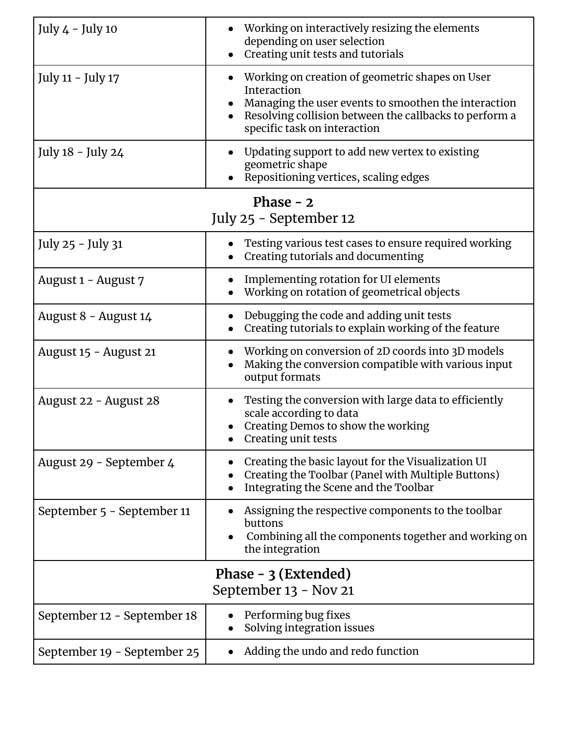<span id="page-5-1"></span><span id="page-5-0"></span>

| July 4 - July 10                               | Working on interactively resizing the elements<br>depending on user selection<br>Creating unit tests and tutorials                                                                                               |  |  |
|------------------------------------------------|------------------------------------------------------------------------------------------------------------------------------------------------------------------------------------------------------------------|--|--|
| July 11 - July 17                              | Working on creation of geometric shapes on User<br>Interaction<br>Managing the user events to smoothen the interaction<br>Resolving collision between the callbacks to perform a<br>specific task on interaction |  |  |
| July 18 - July 24                              | Updating support to add new vertex to existing<br>$\bullet$<br>geometric shape<br>Repositioning vertices, scaling edges                                                                                          |  |  |
| Phase $-2$<br>July 25 - September 12           |                                                                                                                                                                                                                  |  |  |
| July 25 - July 31                              | Testing various test cases to ensure required working<br>Creating tutorials and documenting                                                                                                                      |  |  |
| August 1 - August 7                            | Implementing rotation for UI elements<br>Working on rotation of geometrical objects                                                                                                                              |  |  |
| August 8 - August 14                           | Debugging the code and adding unit tests<br>Creating tutorials to explain working of the feature                                                                                                                 |  |  |
| August 15 - August 21                          | Working on conversion of 2D coords into 3D models<br>Making the conversion compatible with various input<br>output formats                                                                                       |  |  |
| August 22 - August 28                          | Testing the conversion with large data to efficiently<br>scale according to data<br>Creating Demos to show the working<br>Creating unit tests                                                                    |  |  |
| August 29 - September 4                        | Creating the basic layout for the Visualization UI<br>Creating the Toolbar (Panel with Multiple Buttons)<br>Integrating the Scene and the Toolbar                                                                |  |  |
| September 5 - September 11                     | Assigning the respective components to the toolbar<br>buttons<br>Combining all the components together and working on<br>$\bullet$<br>the integration                                                            |  |  |
| Phase $-3$ (Extended)<br>September 13 - Nov 21 |                                                                                                                                                                                                                  |  |  |
| September 12 - September 18                    | Performing bug fixes<br>Solving integration issues                                                                                                                                                               |  |  |
| September 19 - September 25                    | Adding the undo and redo function                                                                                                                                                                                |  |  |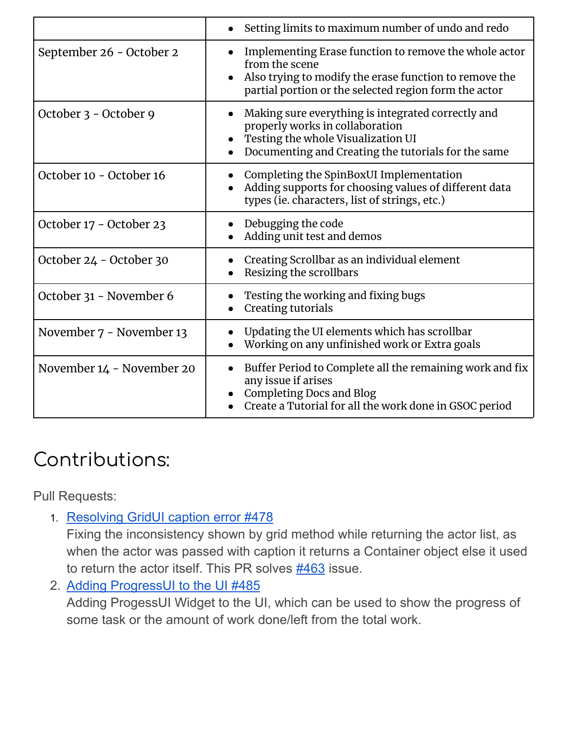|                           | Setting limits to maximum number of undo and redo                                                                                                                                                       |
|---------------------------|---------------------------------------------------------------------------------------------------------------------------------------------------------------------------------------------------------|
| September 26 - October 2  | Implementing Erase function to remove the whole actor<br>from the scene<br>Also trying to modify the erase function to remove the<br>$\bullet$<br>partial portion or the selected region form the actor |
| October 3 - October 9     | Making sure everything is integrated correctly and<br>properly works in collaboration<br>Testing the whole Visualization UI<br>Documenting and Creating the tutorials for the same                      |
| October 10 - October 16   | Completing the SpinBoxUI Implementation<br>Adding supports for choosing values of different data<br>types (ie. characters, list of strings, etc.)                                                       |
| October 17 - October 23   | Debugging the code<br>Adding unit test and demos                                                                                                                                                        |
| October 24 - October 30   | Creating Scrollbar as an individual element<br>Resizing the scrollbars                                                                                                                                  |
| October 31 - November 6   | Testing the working and fixing bugs<br>Creating tutorials                                                                                                                                               |
| November 7 - November 13  | Updating the UI elements which has scrollbar<br>Working on any unfinished work or Extra goals                                                                                                           |
| November 14 - November 20 | Buffer Period to Complete all the remaining work and fix<br>$\bullet$<br>any issue if arises<br><b>Completing Docs and Blog</b><br>Create a Tutorial for all the work done in GSOC period               |

# <span id="page-6-0"></span>Contributions:

<span id="page-6-1"></span>Pull Requests:

1. [Resolving](https://github.com/fury-gl/fury/pull/478) GridUI caption error #478

Fixing the inconsistency shown by grid method while returning the actor list, as when the actor was passed with caption it returns a Container object else it used to return the actor itself. This PR solves [#463](https://github.com/fury-gl/fury/issues/463) issue.

2. Adding [ProgressUI](https://github.com/fury-gl/fury/pull/485) to the UI #485

Adding ProgessUI Widget to the UI, which can be used to show the progress of some task or the amount of work done/left from the total work.